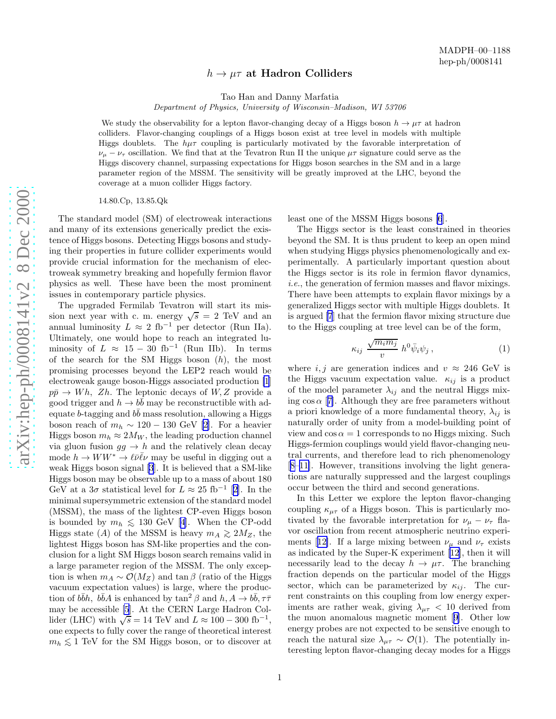## $h \to \mu\tau$  at Hadron Colliders

Tao Han and Danny Marfatia

Department of Physics, University of Wisconsin–Madison, WI 53706

We study the observability for a lepton flavor-changing decay of a Higgs boson  $h \to \mu\tau$  at hadron colliders. Flavor-changing couplings of a Higgs boson exist at tree level in models with multiple Higgs doublets. The  $h\mu\tau$  coupling is particularly motivated by the favorable interpretation of  $\nu_{\mu} - \nu_{\tau}$  oscillation. We find that at the Tevatron Run II the unique  $\mu\tau$  signature could serve as the Higgs discovery channel, surpassing expectations for Higgs boson searches in the SM and in a large parameter region of the MSSM. The sensitivity will be greatly improved at the LHC, beyond the coverage at a muon collider Higgs factory.

14.80.Cp, 13.85.Qk

The standard model (SM) of electroweak interactions and many of its extensions generically predict the existence of Higgs bosons. Detecting Higgs bosons and studying their properties in future collider experiments would provide crucial information for the mechanism of electroweak symmetry breaking and hopefully fermion flavor physics as well. These have been the most prominent issues in contemporary particle physics.

The upgraded Fermilab Tevatron will start its mission next year with c. m. energy  $\sqrt{s} = 2$  TeV and an annual luminosity  $L \approx 2$  fb<sup>-1</sup> per detector (Run IIa). Ultimately, one would hope to reach an integrated luminosity of  $L \approx 15 - 30$  fb<sup>-1</sup> (Run IIb). In terms of the search for the SM Higgs boson  $(h)$ , the most promising processes beyond the LEP2 reach would be electroweak gauge boson-Higgs associated production [\[1](#page-3-0)]  $p\bar{p} \rightarrow Wh$ ,  $Zh$ . The leptonic decays of  $W$ , Z provide a good trigger and  $h \to b\bar{b}$  may be reconstructible with adequate b-tagging and  $b\bar{b}$  mass resolution, allowing a Higgs boson reach of  $m_h \sim 120 - 130$  GeV [\[2](#page-3-0)]. For a heavier Higgs boson  $m_h \approx 2M_W$ , the leading production channel via gluon fusion  $gg \to h$  and the relatively clean decay mode  $h \to WW^* \to \ell \bar{\nu} \bar{\ell} \nu$  may be useful in digging out a weak Higgs boson signal [\[3](#page-3-0)]. It is believed that a SM-like Higgs boson may be observable up to a mass of about 180 GeV at a  $3\sigma$  statistical level for  $L \approx 25$  fb<sup>-1</sup> [[2\]](#page-3-0). In the minimal supersymmetric extension of the standard model (MSSM), the mass of the lightest CP-even Higgs boson isbounded by  $m_h \leq 130$  GeV [[4\]](#page-3-0). When the CP-odd<br>Higgs of the ASS of the MSSM is because  $\geq 2M$ , then Higgs state (A) of the MSSM is heavy  $m_A \geq 2M_Z$ , the lightest Higgs boson has SM-like properties and the conclusion for a light SM Higgs boson search remains valid in a large parameter region of the MSSM. The only exception is when  $m_A \sim \mathcal{O}(M_Z)$  and tan  $\beta$  (ratio of the Higgs vacuum expectation values) is large, where the production of  $b\bar{b}h$ ,  $b\bar{b}A$  is enhanced by  $\tan^2\beta$  and  $h, A \to b\bar{b}, \tau\bar{\tau}$ may be accessible [\[5](#page-3-0)]. At the CERN Large Hadron Collider (LHC) with  $\sqrt{s} = 14$  TeV and  $L \approx 100 - 300$  fb<sup>-1</sup>, one expects to fully cover the range of theoretical interest  $m_h \lesssim 1$  TeV for the SM Higgs boson, or to discover at

least one of the MSSM Higgs bosons [\[6](#page-3-0)].

The Higgs sector is the least constrained in theories beyond the SM. It is thus prudent to keep an open mind when studying Higgs physics phenomenologically and experimentally. A particularly important question about the Higgs sector is its role in fermion flavor dynamics, i.e., the generation of fermion masses and flavor mixings. There have been attempts to explain flavor mixings by a generalized Higgs sector with multiple Higgs doublets. It is argued [\[7](#page-3-0)] that the fermion flavor mixing structure due to the Higgs coupling at tree level can be of the form,

$$
\kappa_{ij} \frac{\sqrt{m_i m_j}}{v} h^0 \bar{\psi}_i \psi_j , \qquad (1)
$$

where  $i, j$  are generation indices and  $v \approx 246$  GeV is the Higgs vacuum expectation value.  $\kappa_{ij}$  is a product of the model parameter  $\lambda_{ij}$  and the neutral Higgs mixing  $\cos \alpha$  [[7\]](#page-3-0). Although they are free parameters without a priori knowledge of a more fundamental theory,  $\lambda_{ij}$  is naturally order of unity from a model-building point of view and  $\cos \alpha = 1$  corresponds to no Higgs mixing. Such Higgs-fermion couplings would yield flavor-changing neutral currents, and therefore lead to rich phenomenology [[8–11\]](#page-3-0). However, transitions involving the light generations are naturally suppressed and the largest couplings occur between the third and second generations.

In this Letter we explore the lepton flavor-changing coupling  $\kappa_{\mu\tau}$  of a Higgs boson. This is particularly motivated by the favorable interpretation for  $\nu_{\mu} - \nu_{\tau}$  flavor oscillation from recent atmospheric neutrino experi-ments[[12\]](#page-3-0). If a large mixing between  $\nu_{\mu}$  and  $\nu_{\tau}$  exists as indicated by the Super-K experiment[[12\]](#page-3-0), then it will necessarily lead to the decay  $h \to \mu \tau$ . The branching fraction depends on the particular model of the Higgs sector, which can be parameterized by  $\kappa_{ij}$ . The current constraints on this coupling from low energy experiments are rather weak, giving  $\lambda_{\mu\tau}$  < 10 derived from the muon anomalous magnetic moment[[9\]](#page-3-0). Other low energy probes are not expected to be sensitive enough to reach the natural size  $\lambda_{\mu\tau} \sim \mathcal{O}(1)$ . The potentially interesting lepton flavor-changing decay modes for a Higgs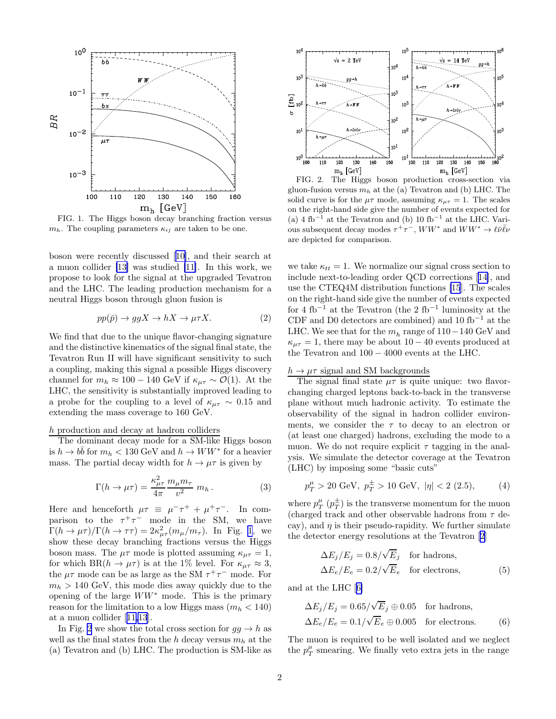<span id="page-1-0"></span>

FIG. 1. The Higgs boson decay branching fraction versus  $m_h$ . The coupling parameters  $\kappa_{ij}$  are taken to be one.

boson were recently discussed[[10\]](#page-3-0), and their search at a muon collider [\[13\]](#page-3-0) was studied [\[11\]](#page-3-0). In this work, we propose to look for the signal at the upgraded Tevatron and the LHC. The leading production mechanism for a neutral Higgs boson through gluon fusion is

$$
pp(\bar{p}) \to ggX \to hX \to \mu\tau X. \tag{2}
$$

We find that due to the unique flavor-changing signature and the distinctive kinematics of the signal final state, the Tevatron Run II will have significant sensitivity to such a coupling, making this signal a possible Higgs discovery channel for  $m_h \approx 100 - 140$  GeV if  $\kappa_{u\tau} \sim \mathcal{O}(1)$ . At the LHC, the sensitivity is substantially improved leading to a probe for the coupling to a level of  $\kappa_{\mu\tau} \sim 0.15$  and extending the mass coverage to 160 GeV.

## $h$  production and decay at hadron colliders  $% \mathcal{N}$

The dominant decay mode for a SM-like Higgs boson is  $h \to b\bar{b}$  for  $m_h < 130 \text{ GeV}$  and  $h \to WW^*$  for a heavier mass. The partial decay width for  $h \to \mu\tau$  is given by

$$
\Gamma(h \to \mu \tau) = \frac{\kappa_{\mu\tau}^2}{4\pi} \frac{m_{\mu} m_{\tau}}{v^2} m_h.
$$
 (3)

Here and henceforth  $\mu \tau \equiv \mu^- \tau^+ + \mu^+ \tau^-$ . In comparison to the  $\tau^+\tau^-$  mode in the SM, we have  $\Gamma(h \to \mu \tau)/\Gamma(h \to \tau \tau) = 2\kappa_{\mu\tau}^2(m_\mu/m_\tau)$ . In Fig. 1, we show these decay branching fractions versus the Higgs boson mass. The  $\mu\tau$  mode is plotted assuming  $\kappa_{\mu\tau} = 1$ , for which BR( $h \to \mu \tau$ ) is at the 1% level. For  $\kappa_{\mu\tau} \approx 3$ , the  $\mu\tau$  mode can be as large as the SM  $\tau^+\tau^-$  mode. For  $m_h > 140$  GeV, this mode dies away quickly due to the opening of the large  $WW^*$  mode. This is the primary reason for the limitation to a low Higgs mass  $(m_h < 140)$ at a muon collider[[11,13](#page-3-0)].

In Fig. 2 we show the total cross section for  $gg \to h$  as well as the final states from the h decay versus  $m_h$  at the (a) Tevatron and (b) LHC. The production is SM-like as



FIG. 2. The Higgs boson production cross-section via gluon-fusion versus  $m_h$  at the (a) Tevatron and (b) LHC. The solid curve is for the  $\mu\tau$  mode, assuming  $\kappa_{\mu\tau} = 1$ . The scales on the right-hand side give the number of events expected for (a) 4 fb<sup> $-1$ </sup> at the Tevatron and (b) 10 fb<sup>-1</sup> at the LHC. Various subsequent decay modes  $\tau^+\tau^-$ ,  $WW^*$  and  $WW^*\to \ell\bar{\nu}\bar{\ell}\nu$ are depicted for comparison.

we take  $\kappa_{tt} = 1$ . We normalize our signal cross section to include next-to-leading order QCD corrections[[14\]](#page-3-0), and use the CTEQ4M distribution functions [\[15](#page-3-0)]. The scales on the right-hand side give the number of events expected for 4 fb<sup>-1</sup> at the Tevatron (the 2 fb<sup>-1</sup> luminosity at the CDF and D0 detectors are combined) and 10 fb<sup>-1</sup> at the LHC. We see that for the  $m_h$  range of 110−140 GeV and  $\kappa_{\mu\tau} = 1$ , there may be about 10 – 40 events produced at the Tevatron and 100 − 4000 events at the LHC.

## $h \to \mu\tau$  signal and SM backgrounds

The signal final state  $\mu\tau$  is quite unique: two flavorchanging charged leptons back-to-back in the transverse plane without much hadronic activity. To estimate the observability of the signal in hadron collider environments, we consider the  $\tau$  to decay to an electron or (at least one charged) hadrons, excluding the mode to a muon. We do not require explicit  $\tau$  tagging in the analysis. We simulate the detector coverage at the Tevatron (LHC) by imposing some "basic cuts"

$$
p_T^{\mu} > 20 \text{ GeV}, \ p_T^{\pm} > 10 \text{ GeV}, \ |\eta| < 2 \ (2.5), \tag{4}
$$

where  $p_T^{\mu}$   $(p_T^{\pm}$  $T(T)$  is the transverse momentum for the muon (charged track and other observable hadrons from  $\tau$  decay), and  $\eta$  is their pseudo-rapidity. We further simulate the detector energy resolutions at the Tevatron[[2\]](#page-3-0)

$$
\Delta E_j/E_j = 0.8/\sqrt{E}_j \quad \text{for hadrons},
$$
  

$$
\Delta E_e/E_e = 0.2/\sqrt{E}_e \quad \text{for electrons},
$$
 (5)

and at the LHC[[6\]](#page-3-0)

$$
\Delta E_j/E_j = 0.65/\sqrt{E}_j \oplus 0.05 \text{ for hadrons},
$$
  

$$
\Delta E_e/E_e = 0.1/\sqrt{E}_e \oplus 0.005 \text{ for electrons.}
$$
 (6)

The muon is required to be well isolated and we neglect the  $p_T^{\mu}$  smearing. We finally veto extra jets in the range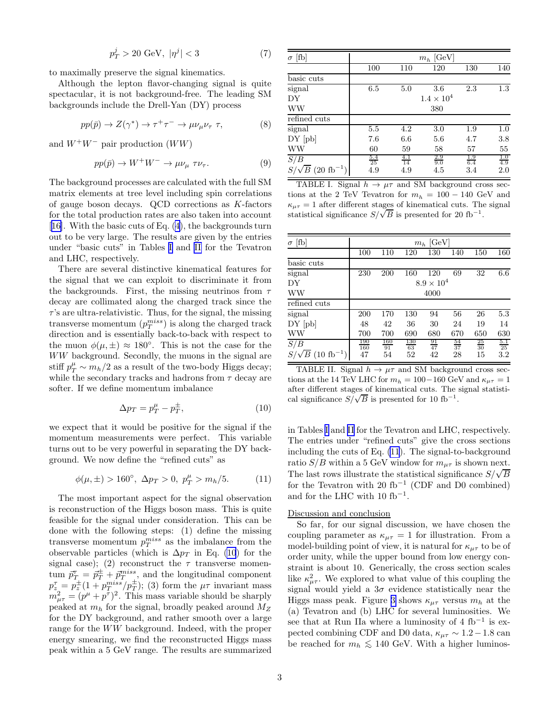$$
p_T^j > 20 \text{ GeV}, \ |\eta^j| < 3 \tag{7}
$$

<span id="page-2-0"></span>to maximally preserve the signal kinematics.

Although the lepton flavor-changing signal is quite spectacular, it is not background-free. The leading SM backgrounds include the Drell-Yan (DY) process

$$
pp(\bar{p}) \to Z(\gamma^*) \to \tau^+ \tau^- \to \mu \nu_\mu \nu_\tau \tau, \tag{8}
$$

and  $W^+W^-$  pair production  $(WW)$ 

$$
pp(\bar{p}) \to W^{+}W^{-} \to \mu \nu_{\mu} \tau \nu_{\tau}.
$$
 (9)

The background processes are calculated with the full SM matrix elements at tree level including spin correlations of gauge boson decays. QCD corrections as K-factors for the total production rates are also taken into account [[16\]](#page-3-0). With the basic cuts of Eq. [\(4](#page-1-0)), the backgrounds turn out to be very large. The results are given by the entries under "basic cuts" in Tables I and II for the Tevatron and LHC, respectively.

There are several distinctive kinematical features for the signal that we can exploit to discriminate it from the backgrounds. First, the missing neutrinos from  $\tau$ decay are collimated along the charged track since the  $\tau$ 's are ultra-relativistic. Thus, for the signal, the missing transverse momentum  $(p_T^{miss})$  is along the charged track direction and is essentially back-to-back with respect to the muon  $\phi(\mu, \pm) \approx 180^{\circ}$ . This is not the case for the WW background. Secondly, the muons in the signal are stiff  $p_T^{\mu} \sim m_h/2$  as a result of the two-body Higgs decay; while the secondary tracks and hadrons from  $\tau$  decay are softer. If we define momentum imbalance

$$
\Delta p_T = p_T^{\mu} - p_T^{\pm},\tag{10}
$$

we expect that it would be positive for the signal if the momentum measurements were perfect. This variable turns out to be very powerful in separating the DY background. We now define the "refined cuts" as

$$
\phi(\mu, \pm) > 160^{\circ}, \ \Delta p_T > 0, \ p_T^{\mu} > m_h/5.
$$
 (11)

The most important aspect for the signal observation is reconstruction of the Higgs boson mass. This is quite feasible for the signal under consideration. This can be done with the following steps: (1) define the missing transverse momentum  $p_T^{miss}$  as the imbalance from the observable particles (which is  $\Delta p_T$  in Eq. (10) for the signal case); (2) reconstruct the  $\tau$  transverse momentum  $\vec{p}_T^{\tau} = \vec{p}_T^{\pm} + \vec{p}_T^{miss}$ , and the longitudinal component  $p_z^{\tau} = p_z^{\pm} (1 + p_T^{miss}/p_T^{\pm});$  (3) form the  $\mu\tau$  invariant mass  $m_{\mu\tau}^2 = (p^{\mu} + p^{\tau})^2$ . This mass variable should be sharply peaked at  $m_h$  for the signal, broadly peaked around  $M_Z$ for the DY background, and rather smooth over a large range for the WW background. Indeed, with the proper energy smearing, we find the reconstructed Higgs mass peak within a 5 GeV range. The results are summarized

| [fb]<br>$\sigma$                  | $m_h$ [GeV]      |                  |                     |                   |                   |  |  |  |
|-----------------------------------|------------------|------------------|---------------------|-------------------|-------------------|--|--|--|
|                                   | 100              | 110              | 120                 | 130               | 140               |  |  |  |
| basic cuts                        |                  |                  |                     |                   |                   |  |  |  |
| signal                            | 6.5              | 5.0              | 3.6                 | 2.3               | $1.3\,$           |  |  |  |
| DY                                |                  |                  | $1.4 \times 10^{4}$ |                   |                   |  |  |  |
| <b>WW</b>                         |                  |                  | 380                 |                   |                   |  |  |  |
| refined cuts                      |                  |                  |                     |                   |                   |  |  |  |
| signal                            | 5.5              | 4.2              | 3.0                 | 1.9               | 1.0               |  |  |  |
| $DY$ $[pb]$                       | 7.6              | 6.6              | 5.6                 | 4.7               | 3.8               |  |  |  |
| WW                                | 60               | 59               | 58                  | 57                | 55                |  |  |  |
| S/B                               | $\frac{5.4}{25}$ | $\frac{4.1}{14}$ | $\frac{2.9}{9.0}$   | $\frac{1.9}{6.4}$ | $\frac{1.0}{4.9}$ |  |  |  |
| $\sqrt{B}$ (20 fb <sup>-1</sup> ) | 4.9              | 4.9              | 4.5                 | 3.4               | 2.0               |  |  |  |

TABLE I. Signal  $h \to \mu\tau$  and SM background cross sections at the 2 TeV Tevatron for  $m_h = 100 - 140$  GeV and  $\kappa_{\mu\tau} = 1$  after different stages of kinematical cuts. The signal statistical significance  $S/\sqrt{B}$  is presented for 20 fb<sup>-1</sup>.

| [fb]<br>$\sigma$                    | $m_h$ [GeV]         |                  |                  |                 |                 |                 |                |  |  |  |
|-------------------------------------|---------------------|------------------|------------------|-----------------|-----------------|-----------------|----------------|--|--|--|
|                                     | 100                 | 110              | 120              | 130             | 140             | 150             | 160            |  |  |  |
| basic cuts                          |                     |                  |                  |                 |                 |                 |                |  |  |  |
| signal                              | 230                 | 200              | 160              | 120             | 69              | 32              | 6.6            |  |  |  |
| DY                                  | $8.9 \times 10^{4}$ |                  |                  |                 |                 |                 |                |  |  |  |
| <b>WW</b>                           | 4000                |                  |                  |                 |                 |                 |                |  |  |  |
| refined cuts                        |                     |                  |                  |                 |                 |                 |                |  |  |  |
| signal                              | 200                 | 170              | 130              | 94              | 56              | 26              | 5.3            |  |  |  |
| $DY$ $[pb]$                         | 48                  | 42               | 36               | 30              | 24              | 19              | 14             |  |  |  |
| <b>WW</b>                           | 700                 | 700              | 690              | 680             | 670             | 650             | 630            |  |  |  |
| S/B                                 | $\frac{190}{160}$   | $\frac{160}{91}$ | $\frac{130}{63}$ | $\frac{91}{47}$ | $\frac{54}{37}$ | $\frac{25}{30}$ | $rac{5.1}{25}$ |  |  |  |
| $S/\sqrt{B}$ (10 fb <sup>-1</sup> ) | 47                  | 54               | 52               | 42              | 28              | 15              | $3.2\,$        |  |  |  |

TABLE II. Signal  $h \to \mu\tau$  and SM background cross sections at the 14 TeV LHC for  $m_h = 100-160$  GeV and  $\kappa_{\mu\tau} = 1$ after different stages of kinematical cuts. The signal statistical significance  $S/\sqrt{B}$  is presented for 10 fb<sup>-1</sup>.

in Tables I and II for the Tevatron and LHC, respectively. The entries under "refined cuts" give the cross sections including the cuts of Eq. (11). The signal-to-background ratio  $S/B$  within a 5 GeV window for  $m_{\mu\tau}$  is shown next. The last rows illustrate the statistical significance  $S/\sqrt{B}$ for the Tevatron with 20  $fb^{-1}$  (CDF and D0 combined) and for the LHC with 10  $fb^{-1}$ .

## Discussion and conclusion

So far, for our signal discussion, we have chosen the coupling parameter as  $\kappa_{\mu\tau} = 1$  for illustration. From a model-building point of view, it is natural for  $\kappa_{\mu\tau}$  to be of order unity, while the upper bound from low energy constraint is about 10. Generically, the cross section scales like  $\kappa^2_{\mu\tau}$ . We explored to what value of this coupling the signal would yield a  $3\sigma$  evidence statistically near the Higgs mass peak. Figure [3](#page-3-0) shows  $\kappa_{\mu\tau}$  versus  $m_h$  at the (a) Tevatron and (b) LHC for several luminosities. We see that at Run IIa where a luminosity of 4 fb<sup>-1</sup> is expected combining CDF and D0 data,  $\kappa_{\mu\tau} \sim 1.2 - 1.8$  can be reached for  $m_h \lesssim 140 \text{ GeV}$ . With a higher luminos-